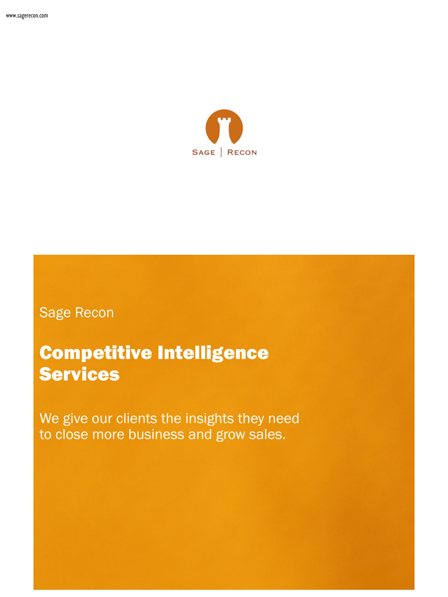

## Sage Recon

# Competitive Intelligence **Services**

We give our clients the insights they need to close more business and grow sales.